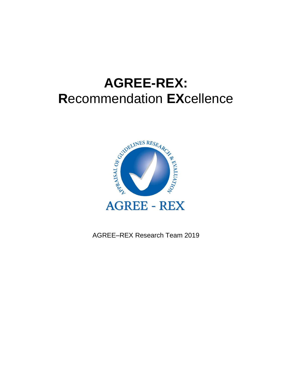# **AGREE-REX: R**ecommendation **EX**cellence



AGREE–REX Research Team 2019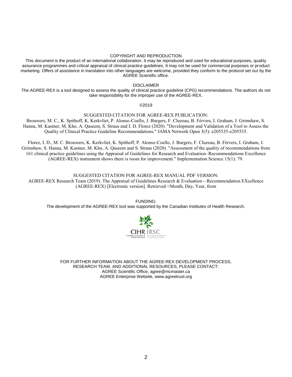#### COPYRIGHT AND REPRODUCTION

This document is the product of an international collaboration. It may be reproduced and used for educational purposes, quality assurance programmes and critical appraisal of clinical practice guidelines. It may not be used for commercial purposes or product marketing. Offers of assistance in translation into other languages are welcome, provided they conform to the protocol set out by the AGREE Scientific office.

DISCLAIMER

The AGREE-REX is a tool designed to assess the quality of clinical practice guideline (CPG) recommendations. The authors do not take responsibility for the improper use of the AGREE-REX.

©2019

#### SUGGESTED CITATION FOR AGREE-REX PUBLICATION:

Brouwers, M. C., K. Spithoff, K. Kerkvliet, P. Alonso-Coello, J. Burgers, F. Cluzeau, B. Férvers, I. Graham, J. Grimshaw, S. Hanna, M. Kastner, M. Kho, A. Qaseem, S. Straus and I. D. Florez (2020). "Development and Validation of a Tool to Assess the Quality of Clinical Practice Guideline Recommendations." JAMA Network Open 3(5): e205535-e205535.

Florez, I. D., M. C. Brouwers, K. Kerkvliet, K. Spithoff, P. Alonso-Coello, J. Burgers, F. Cluzeau, B. Férvers, I. Graham, J. Grimshaw, S. Hanna, M. Kastner, M. Kho, A. Qaseem and S. Straus (2020). "Assessment of the quality of recommendations from 161 clinical practice guidelines using the Appraisal of Guidelines for Research and Evaluation–Recommendations Excellence (AGREE-REX) instrument shows there is room for improvement." Implementation Science 15(1): 79.

SUGGESTED CITATION FOR AGREE-REX MANUAL PDF VERSION: AGREE-REX Research Team (2019). The Appraisal of Guidelines Research & Evaluation—Recommendation EXcellence (AGREE-REX) [Electronic version]. Retrieved <Month, Day, Year, from

FUNDING: The development of the AGREE-REX tool was supported by the Canadian Institutes of Health Research.



FOR FURTHER INFORMATION ABOUT THE AGREE-REX DEVELOPMENT PROCESS, RESEARCH TEAM, AND ADDITIONAL RESOURCES, PLEASE CONTACT: AGREE Scientific Office[, agree@mcmaster.ca](mailto:agree@mcmaster.ca) AGREE Enterprise Website[, www.agreetrust.org](http://www.agreetrust.org/)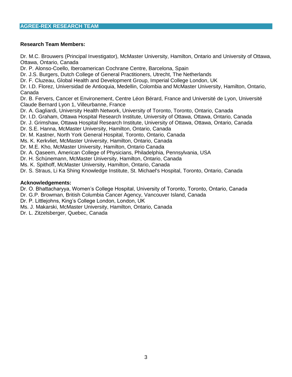#### **Research Team Members:**

Dr. M.C. Brouwers (Principal Investigator), McMaster University, Hamilton, Ontario and University of Ottawa, Ottawa, Ontario, Canada

Dr. P. Alonso-Coello, Iberoamerican Cochrane Centre, Barcelona, Spain

Dr. J.S. Burgers, Dutch College of General Practitioners, Utrecht, The Netherlands

Dr. F. Cluzeau, Global Health and Development Group, Imperial College London, UK

Dr. I.D. Florez, Universidad de Antioquia, Medellin, Colombia and McMaster University, Hamilton, Ontario, Canada

Dr. B. Fervers, Cancer et Environement, Centre Léon Bérard, France and Université de Lyon, Université Claude Bernard Lyon 1, Villeurbanne, France

Dr. A. Gagliardi, University Health Network, University of Toronto, Toronto, Ontario, Canada

Dr. I.D. Graham, Ottawa Hospital Research Institute, University of Ottawa, Ottawa, Ontario, Canada

Dr. J. Grimshaw, Ottawa Hospital Research Institute, University of Ottawa, Ottawa, Ontario, Canada

Dr. S.E. Hanna, McMaster University, Hamilton, Ontario, Canada

Dr. M. Kastner, North York General Hospital, Toronto, Ontario, Canada

Ms. K. Kerkvliet, McMaster University, Hamilton, Ontario, Canada

Dr. M.E. Kho, McMaster University, Hamilton, Ontario Canada

Dr. A. Qaseem, American College of Physicians, Philadelphia, Pennsylvania, USA

Dr. H. Schünemann, McMaster University, Hamilton, Ontario, Canada

Ms. K. Spithoff, McMaster University, Hamilton, Ontario, Canada

Dr. S. Straus, Li Ka Shing Knowledge Institute, St. Michael's Hospital, Toronto, Ontario, Canada

#### **Acknowledgements:**

Dr. O. Bhattacharyya, Women's College Hospital, University of Toronto, Toronto, Ontario, Canada

Dr. G.P. Browman, British Columbia Cancer Agency, Vancouver Island, Canada

Dr. P. Littlejohns, King's College London, London, UK

Ms. J. Makarski, McMaster University, Hamilton, Ontario, Canada

Dr. L. Zitzelsberger, Quebec, Canada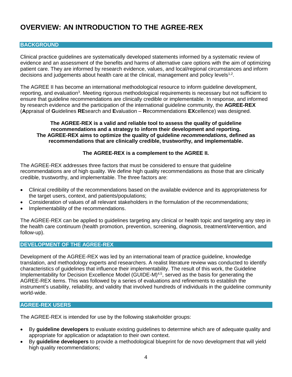# **OVERVIEW: AN INTRODUCTION TO THE AGREE-REX**

#### **BACKGROUND**

Clinical practice guidelines are systematically developed statements informed by a systematic review of evidence and an assessment of the benefits and harms of alternative care options with the aim of optimizing patient care. They are informed by research evidence, values, and local/regional circumstances and inform decisions and judgements about health care at the clinical, management and policy levels<sup>1,2</sup>.

The AGREE II has become an international methodological resource to inform guideline development, reporting, and evaluation<sup>3</sup>. Meeting rigorous methodological requirements is necessary but not sufficient to ensure that guideline recommendations are clinically credible or implementable. In response, and informed by research evidence and the participation of the international guideline community, the **AGREE-REX** (**A**ppraisal of **G**uidelines **RE**search and **E**valuation – **R**ecommendations **EX**cellence) was designed.

#### **The AGREE-REX is a valid and reliable tool to assess the quality of guideline recommendations and a strategy to inform their development and reporting. The AGREE-REX aims to optimize the quality of guideline** *recommendations,* **defined as recommendations that are clinically credible, trustworthy, and implementable.**

#### **The AGREE-REX is a complement to the AGREE II.**

The AGREE-REX addresses three factors that must be considered to ensure that guideline recommendations are of high quality. We define high quality recommendations as those that are clinically credible, trustworthy, and implementable. The three factors are:

- Clinical credibility of the recommendations based on the available evidence and its appropriateness for the target users, context, and patients/populations;
- Consideration of values of all relevant stakeholders in the formulation of the recommendations;
- Implementability of the recommendations.

The AGREE-REX can be applied to guidelines targeting any clinical or health topic and targeting any step in the health care continuum (health promotion, prevention, screening, diagnosis, treatment/intervention, and follow-up).

#### **DEVELOPMENT OF THE AGREE-REX**

Development of the AGREE-REX was led by an international team of practice guideline, knowledge translation, and methodology experts and researchers. A realist literature review was conducted to identify characteristics of guidelines that influence their implementability. The result of this work, the Guideline Implementability for Decision Excellence Model (GUIDE-M)<sup>4,5</sup>, served as the basis for generating the AGREE-REX items. This was followed by a series of evaluations and refinements to establish the instrument's usability, reliability, and validity that involved hundreds of individuals in the guideline community world-wide.

#### **AGREE-REX USERS**

The AGREE-REX is intended for use by the following stakeholder groups:

- By **guideline developers** to evaluate existing guidelines to determine which are of adequate quality and appropriate for application or adaptation to their own context.
- By **guideline developers** to provide a methodological blueprint for de novo development that will yield high quality recommendations;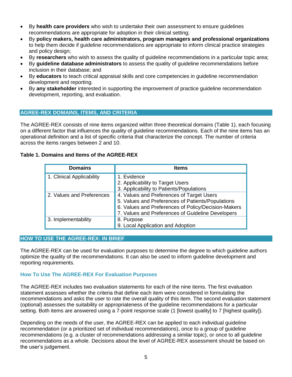- By **health care providers** who wish to undertake their own assessment to ensure guidelines recommendations are appropriate for adoption in their clinical setting;
- By **policy makers, health care administrators, program managers and professional organizations** to help them decide if guideline recommendations are appropriate to inform clinical practice strategies and policy design;
- By **researchers** who wish to assess the quality of guideline recommendations in a particular topic area;
- By **guideline database administrators** to assess the quality of guideline recommendations before inclusion in their database; and
- By **educators** to teach critical appraisal skills and core competencies in guideline recommendation development and reporting.
- By **any stakeholder** interested in supporting the improvement of practice guideline recommendation development, reporting, and evaluation.

#### **AGREE-REX DOMAINS, ITEMS, AND CRITERIA**

The AGREE-REX consists of nine items organized within three theoretical domains (Table 1), each focusing on a different factor that influences the quality of guideline recommendations. Each of the nine items has an operational definition and a list of specific criteria that characterize the concept. The number of criteria across the items ranges between 2 and 10.

#### **Table 1. Domains and Items of the AGREE-REX**

| <b>Domains</b>            | <b>Items</b>                                        |
|---------------------------|-----------------------------------------------------|
| 1. Clinical Applicability | 1. Evidence                                         |
|                           | 2. Applicability to Target Users                    |
|                           | 3. Applicability to Patients/Populations            |
| 2. Values and Preferences | 4. Values and Preferences of Target Users           |
|                           | 5. Values and Preferences of Patients/Populations   |
|                           | 6. Values and Preferences of Policy/Decision-Makers |
|                           | 7. Values and Preferences of Guideline Developers   |
| 3. Implementability       | 8. Purpose                                          |
|                           | 9. Local Application and Adoption                   |

#### **HOW TO USE THE AGREE-REX: IN BRIEF**

The AGREE-REX can be used for evaluation purposes to determine the degree to which guideline authors optimize the quality of the recommendations. It can also be used to inform guideline development and reporting requirements.

#### **How To Use The AGREE-REX For Evaluation Purposes**

The AGREE-REX includes two evaluation statements for each of the nine items. The first evaluation statement assesses whether the criteria that define each item were considered in formulating the recommendations and asks the user to rate the overall quality of this item. The second evaluation statement (optional) assesses the suitability or appropriateness of the guideline recommendations for a particular setting. Both items are answered using a 7-point response scale (1 [lowest quality] to 7 [highest quality]).

Depending on the needs of the user, the AGREE-REX can be applied to each individual guideline recommendation (or a prioritized set of individual recommendations), once to a group of guideline recommendations (e.g. a cluster of recommendations addressing a similar topic), or once to all guideline recommendations as a whole. Decisions about the level of AGREE-REX assessment should be based on the user's judgement.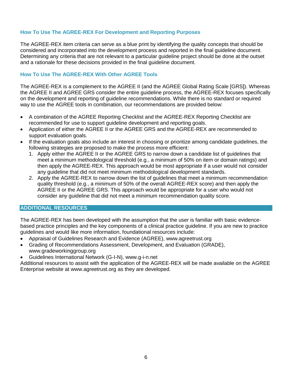#### **How To Use The AGREE-REX For Development and Reporting Purposes**

The AGREE-REX item criteria can serve as a blue print by identifying the quality concepts that should be considered and incorporated into the development process and reported in the final guideline document. Determining any criteria that are not relevant to a particular guideline project should be done at the outset and a rationale for these decisions provided in the final guideline document.

#### **How To Use The AGREE-REX With Other AGREE Tools**

The AGREE-REX is a complement to the AGREE II (and the AGREE Global Rating Scale [GRS]). Whereas the AGREE II and AGREE GRS consider the entire guideline process, the AGREE-REX focuses specifically on the development and reporting of guideline recommendations. While there is no standard or required way to use the AGREE tools in combination, our recommendations are provided below:

- A combination of the AGREE Reporting Checklist and the AGREE-REX Reporting Checklist are recommended for use to support guideline development and reporting goals.
- Application of either the AGREE II or the AGREE GRS and the AGREE-REX are recommended to support evaluation goals.
- If the evaluation goals also include an interest in choosing or prioritize among candidate guidelines, the following strategies are proposed to make the process more efficient:
	- 1. Apply either the AGREE II or the AGREE GRS to narrow down a candidate list of guidelines that meet a minimum methodological threshold (e.g., a minimum of 50% on item or domain ratings) and then apply the AGREE-REX. This approach would be most appropriate if a user would not consider any guideline that did not meet minimum methodological development standards.
	- 2. Apply the AGREE-REX to narrow down the list of guidelines that meet a minimum recommendation quality threshold (e.g., a minimum of 50% of the overall AGREE-REX score) and then apply the AGREE II or the AGREE GRS. This approach would be appropriate for a user who would not consider any guideline that did not meet a minimum recommendation quality score.

#### **ADDITIONAL RESOURCES**

The AGREE-REX has been developed with the assumption that the user is familiar with basic evidencebased practice principles and the key components of a clinical practice guideline. If you are new to practice guidelines and would like more information, foundational resources include:

- Appraisal of Guidelines Research and Evidence (AGREE), www.agreetrust.org
- Grading of Recommendations Assessment, Development, and Evaluation (GRADE), www.gradeworkinggroup.org
- Guidelines International Network (G-I-N), www.g-i-n.net

Additional resources to assist with the application of the AGREE-REX will be made available on the AGREE Enterprise website at [www.agreetrust.org](http://www.agreetrust.org/) as they are developed.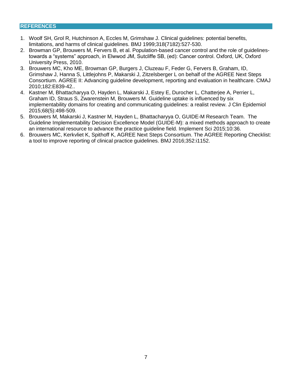#### **REFERENCES**

- 1. Woolf SH, Grol R, Hutchinson A, Eccles M, Grimshaw J. Clinical guidelines: potential benefits, limitations, and harms of clinical guidelines. BMJ 1999;318(7182):527-530.
- 2. Browman GP, Brouwers M, Fervers B, et al. Population-based cancer control and the role of guidelinestowards a "systems" approach, in Elwwod JM, Sutcliffe SB, (ed): Cancer control. Oxford, UK, Oxford University Press, 2010.
- 3. Brouwers MC, Kho ME, Browman GP, Burgers J, Cluzeau F, Feder G, Fervers B, Graham, ID, Grimshaw J, Hanna S, Littlejohns P, Makarski J, Zitzelsberger L on behalf of the AGREE Next Steps Consortium. AGREE II: Advancing guideline development, reporting and evaluation in healthcare. CMAJ 2010;182:E839-42..
- 4. Kastner M, Bhattacharyya O, Hayden L, Makarski J, Estey E, Durocher L, Chatterjee A, Perrier L, Graham ID, Straus S, Zwarenstein M, Brouwers M. Guideline uptake is influenced by six implementability domains for creating and communicating guidelines: a realist review. J Clin Epidemiol 2015;68(5):498-509.
- 5. Brouwers M, Makarski J, Kastner M, Hayden L, Bhattacharyya O, GUIDE-M Research Team. The Guideline Implementability Decision Excellence Model (GUIDE-M): a mixed methods approach to create an international resource to advance the practice guideline field. Implement Sci 2015;10:36.
- 6. Brouwers MC, Kerkvliet K, Spithoff K, AGREE Next Steps Consortium. The AGREE Reporting Checklist: a tool to improve reporting of clinical practice guidelines. BMJ 2016;352:i1152.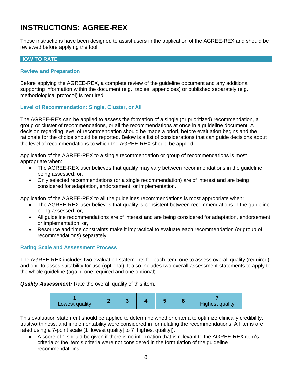# **INSTRUCTIONS: AGREE-REX**

These instructions have been designed to assist users in the application of the AGREE-REX and should be reviewed before applying the tool.

#### **HOW TO RATE**

#### **Review and Preparation**

Before applying the AGREE-REX, a complete review of the guideline document and any additional supporting information within the document (e.g., tables, appendices) or published separately (e.g., methodological protocol) is required.

#### **Level of Recommendation: Single, Cluster, or All**

The AGREE-REX can be applied to assess the formation of a single (or prioritized) recommendation, a group or cluster of recommendations, or all the recommendations at once in a guideline document. A decision regarding level of recommendation should be made a priori, before evaluation begins and the rationale for the choice should be reported. Below is a list of considerations that can guide decisions about the level of recommendations to which the AGREE-REX should be applied.

Application of the AGREE-REX to a single recommendation or group of recommendations is most appropriate when:

- The AGREE-REX user believes that quality may vary between recommendations in the guideline being assessed; or,
- Only selected recommendations (or a single recommendation) are of interest and are being considered for adaptation, endorsement, or implementation.

Application of the AGREE-REX to all the guidelines recommendations is most appropriate when:

- The AGREE-REX user believes that quality is consistent between recommendations in the guideline being assessed; or,
- All guideline recommendations are of interest and are being considered for adaptation, endorsement or implementation; or,
- Resource and time constraints make it impractical to evaluate each recommendation (or group of recommendations) separately.

#### **Rating Scale and Assessment Process**

The AGREE-REX includes two evaluation statements for each item: one to assess overall quality (required) and one to asses suitability for use (optional). It also includes two overall assessment statements to apply to the whole guideline (again, one required and one optional).

*Quality Assessment:* Rate the overall quality of this item.



This evaluation statement should be applied to determine whether criteria to optimize clinically credibility, trustworthiness, and implementability were considered in formulating the recommendations. All items are rated using a 7-point scale (1 [lowest quality] to 7 [highest quality]).

 A score of 1 should be given if there is no information that is relevant to the AGREE-REX item's criteria or the item's criteria were not considered in the formulation of the guideline recommendations.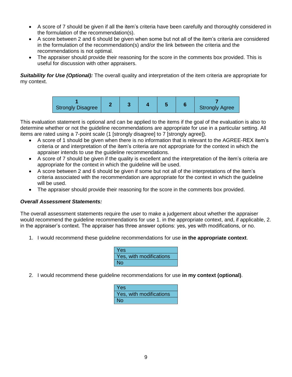- A score of 7 should be given if all the item's criteria have been carefully and thoroughly considered in the formulation of the recommendation(s).
- A score between 2 and 6 should be given when some but not all of the item's criteria are considered in the formulation of the recommendation(s) and/or the link between the criteria and the recommendations is not optimal.
- The appraiser should provide their reasoning for the score in the comments box provided. This is useful for discussion with other appraisers.

**Suitability for Use (Optional):** The overall quality and interpretation of the item criteria are appropriate for my context.



This evaluation statement is optional and can be applied to the items if the goal of the evaluation is also to determine whether or not the guideline recommendations are appropriate for use in a particular setting. All items are rated using a 7-point scale (1 [strongly disagree] to 7 [strongly agree]).

- A score of 1 should be given when there is no information that is relevant to the AGREE-REX item's criteria or and interpretation of the item's criteria are not appropriate for the context in which the appraiser intends to use the guideline recommendations.
- A score of 7 should be given if the quality is excellent and the interpretation of the item's criteria are appropriate for the context in which the guideline will be used.
- A score between 2 and 6 should be given if some but not all of the interpretations of the item's criteria associated with the recommendation are appropriate for the context in which the guideline will be used.
- The appraiser should provide their reasoning for the score in the comments box provided.

#### *Overall Assessment Statements:*

The overall assessment statements require the user to make a judgement about whether the appraiser would recommend the guideline recommendations for use 1. in the appropriate context, and, if applicable, 2. in the appraiser's context. The appraiser has three answer options: yes, yes with modifications, or no.

1. I would recommend these guideline recommendations for use **in the appropriate context**.

| Yes                     |  |
|-------------------------|--|
| Yes, with modifications |  |
| <b>No</b>               |  |

2. I would recommend these guideline recommendations for use **in my context (optional)**.

| Yes                     |
|-------------------------|
| Yes, with modifications |
| No                      |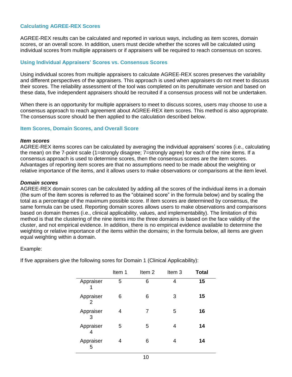#### **Calculating AGREE-REX Scores**

AGREE-REX results can be calculated and reported in various ways, including as item scores, domain scores, or an overall score. In addition, users must decide whether the scores will be calculated using individual scores from multiple appraisers or if appraisers will be required to reach consensus on scores.

#### **Using Individual Appraisers' Scores vs. Consensus Scores**

Using individual scores from multiple appraisers to calculate AGREE-REX scores preserves the variability and different perspectives of the appraisers. This approach is used when appraisers do not meet to discuss their scores. The reliability assessment of the tool was completed on its penultimate version and based on these data, five independent appraisers should be recruited if a consensus process will not be undertaken.

When there is an opportunity for multiple appraisers to meet to discuss scores, users may choose to use a consensus approach to reach agreement about AGREE-REX item scores. This method is also appropriate. The consensus score should be then applied to the calculation described below.

#### **Item Scores, Domain Scores, and Overall Score**

#### *Item scores*

AGREE-REX items scores can be calculated by averaging the individual appraisers' scores (i.e., calculating the mean) on the 7-point scale (1=strongly disagree; 7=strongly agree) for each of the nine items. If a consensus approach is used to determine scores, then the consensus scores are the item scores. Advantages of reporting item scores are that no assumptions need to be made about the weighting or relative importance of the items, and it allows users to make observations or comparisons at the item level.

#### *Domain scores*

AGREE-REX domain scores can be calculated by adding all the scores of the individual items in a domain (the sum of the item scores is referred to as the "obtained score" in the formula below) and by scaling the total as a percentage of the maximum possible score. If item scores are determined by consensus, the same formula can be used. Reporting domain scores allows users to make observations and comparisons based on domain themes (i.e., clinical applicability, values, and implementability). The limitation of this method is that the clustering of the nine items into the three domains is based on the face validity of the cluster, and not empirical evidence. In addition, there is no empirical evidence available to determine the weighting or relative importance of the items within the domains; in the formula below, all items are given equal weighting within a domain.

#### Example:

If five appraisers give the following sores for Domain 1 (Clinical Applicability):

|                | Item 1 | Item <sub>2</sub> | Item 3 | <b>Total</b> |
|----------------|--------|-------------------|--------|--------------|
| Appraiser      | 5      | 6                 | 4      | 15           |
| Appraiser<br>2 | 6      | 6                 | 3      | 15           |
| Appraiser<br>3 | 4      | 7                 | 5      | 16           |
| Appraiser<br>4 | 5      | 5                 | 4      | 14           |
| Appraiser<br>5 | 4      | 6                 | 4      | 14           |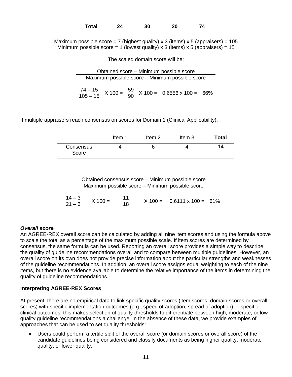| <b>Total</b> | 30 | 20<br>__ | 74 |
|--------------|----|----------|----|

Maximum possible score = 7 (highest quality) x 3 (items) x 5 (appraisers) =  $105$ Minimum possible score = 1 (lowest quality) x 3 (items) x 5 (appraisers) = 15

The scaled domain score will be:

Obtained score – Minimum possible score Maximum possible score – Minimum possible score

$$
\frac{74-15}{105-15} \times 100 = \frac{59}{90} \times 100 = 0.6556 \times 100 = 66\%
$$

If multiple appraisers reach consensus on scores for Domain 1 (Clinical Applicability):

|                    | Item 1 | ltem 2 | Item 3 | <b>Total</b> |
|--------------------|--------|--------|--------|--------------|
| Consensus<br>Score |        |        |        | 14           |

Obtained consensus score – Minimum possible score Maximum possible score – Minimum possible score

 $\frac{14-3}{21-3}$  X 100 =  $\frac{11}{18}$  X 100 = 0.6111 x 100 = 61%

#### *Overall score*

An AGREE-REX overall score can be calculated by adding all nine item scores and using the formula above to scale the total as a percentage of the maximum possible scale. If item scores are determined by consensus, the same formula can be used. Reporting an overall score provides a simple way to describe the quality of guideline recommendations overall and to compare between multiple guidelines. However, an overall score on its own does not provide precise information about the particular strengths and weaknesses of the guideline recommendations. In addition, an overall score assigns equal weighting to each of the nine items, but there is no evidence available to determine the relative importance of the items in determining the quality of guideline recommendations.

#### **Interpreting AGREE-REX Scores**

At present, there are no empirical data to link specific quality scores (item scores, domain scores or overall scores) with specific implementation outcomes (e.g., speed of adoption, spread of adoption) or specific clinical outcomes; this makes selection of quality thresholds to differentiate between high, moderate, or low quality guideline recommendations a challenge. In the absence of these data, we provide examples of approaches that can be used to set quality thresholds:

 Users could perform a tertile split of the overall score (or domain scores or overall score) of the candidate guidelines being considered and classify documents as being higher quality, moderate quality, or lower quality.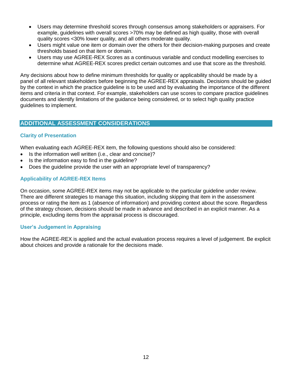- Users may determine threshold scores through consensus among stakeholders or appraisers. For example, guidelines with overall scores >70% may be defined as high quality, those with overall quality scores <30% lower quality, and all others moderate quality.
- Users might value one item or domain over the others for their decision-making purposes and create thresholds based on that item or domain.
- Users may use AGREE-REX Scores as a continuous variable and conduct modelling exercises to determine what AGREE-REX scores predict certain outcomes and use that score as the threshold.

Any decisions about how to define minimum thresholds for quality or applicability should be made by a panel of all relevant stakeholders before beginning the AGREE-REX appraisals. Decisions should be guided by the context in which the practice guideline is to be used and by evaluating the importance of the different items and criteria in that context. For example, stakeholders can use scores to compare practice guidelines documents and identify limitations of the guidance being considered, or to select high quality practice guidelines to implement.

#### **ADDITIONAL ASSESSMENT CONSIDERATIONS**

#### **Clarity of Presentation**

When evaluating each AGREE-REX item, the following questions should also be considered:

- Is the information well written (i.e., clear and concise)?
- Is the information easy to find in the quideline?
- Does the guideline provide the user with an appropriate level of transparency?

#### **Applicability of AGREE-REX Items**

On occasion, some AGREE-REX items may not be applicable to the particular guideline under review. There are different strategies to manage this situation, including skipping that item in the assessment process or rating the item as 1 (absence of information) and providing context about the score. Regardless of the strategy chosen, decisions should be made in advance and described in an explicit manner. As a principle, excluding items from the appraisal process is discouraged.

#### **User's Judgement in Appraising**

How the AGREE-REX is applied and the actual evaluation process requires a level of judgement. Be explicit about choices and provide a rationale for the decisions made.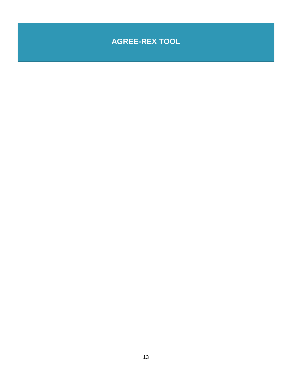# **AGREE-REX TOOL**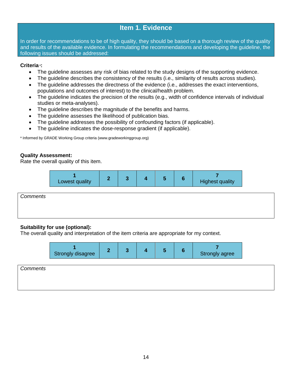### **Item 1. Evidence**

In order for recommendations to be of high quality, they should be based on a thorough review of the quality and results of the available evidence. In formulating the recommendations and developing the guideline, the following issues should be addressed:

#### **Criteria**<sup>a</sup> **:**

- The guideline assesses any risk of bias related to the study designs of the supporting evidence.
- The guideline describes the consistency of the results (i.e., similarity of results across studies).
- The quideline addresses the directness of the evidence (i.e., addresses the exact interventions, populations and outcomes of interest) to the clinical/health problem.
- The guideline indicates the precision of the results (e.g., width of confidence intervals of individual studies or meta-analyses).
- The guideline describes the magnitude of the benefits and harms.
- The guideline assesses the likelihood of publication bias.
- The guideline addresses the possibility of confounding factors (if applicable).
- The quideline indicates the dose-response gradient (if applicable).

a Informed by GRADE Working Group criteria [\(www.gradeworkinggroup.org\)](http://www.gradeworkinggroup.org/)

#### **Quality Assessment:**

Rate the overall quality of this item.

| Lowest quality |  |  | <b>Highest quality</b> |
|----------------|--|--|------------------------|
|----------------|--|--|------------------------|

*Comments*

#### **Suitability for use (optional):**

The overall quality and interpretation of the item criteria are appropriate for my context.

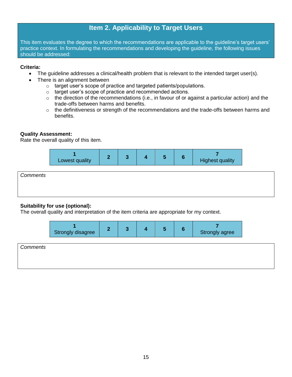# **Item 2. Applicability to Target Users**

This item evaluates the degree to which the recommendations are applicable to the guideline's target users' practice context. In formulating the recommendations and developing the guideline, the following issues should be addressed:

#### **Criteria:**

- The quideline addresses a clinical/health problem that is relevant to the intended target user(s).
- There is an alignment between
	- o target user's scope of practice and targeted patients/populations.
	- o target user's scope of practice and recommended actions.
	- $\circ$  the direction of the recommendations (i.e., in favour of or against a particular action) and the trade-offs between harms and benefits.
	- o the definitiveness or strength of the recommendations and the trade-offs between harms and benefits.

#### **Quality Assessment:**

Rate the overall quality of this item.



| Comments |  |  |
|----------|--|--|
|          |  |  |
|          |  |  |

#### **Suitability for use (optional):**

The overall quality and interpretation of the item criteria are appropriate for my context.

| Strongly disagree |  |  |  |  |  | Strongly agree |
|-------------------|--|--|--|--|--|----------------|
|-------------------|--|--|--|--|--|----------------|

| Comments |  |  |  |
|----------|--|--|--|
|          |  |  |  |
|          |  |  |  |
|          |  |  |  |
|          |  |  |  |
|          |  |  |  |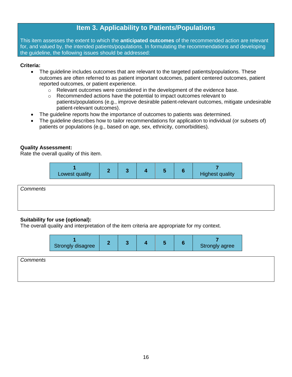# **Item 3. Applicability to Patients/Populations**

This item assesses the extent to which the **anticipated outcomes** of the recommended action are relevant for, and valued by, the intended patients/populations. In formulating the recommendations and developing the guideline, the following issues should be addressed:

#### **Criteria:**

- The guideline includes outcomes that are relevant to the targeted patients/populations. These outcomes are often referred to as patient important outcomes, patient centered outcomes, patient reported outcomes, or patient experience.
	- $\circ$  Relevant outcomes were considered in the development of the evidence base.
	- o Recommended actions have the potential to impact outcomes relevant to patients/populations (e.g., improve desirable patient-relevant outcomes, mitigate undesirable patient-relevant outcomes).
- The guideline reports how the importance of outcomes to patients was determined.
- The guideline describes how to tailor recommendations for application to individual (or subsets of) patients or populations (e.g., based on age, sex, ethnicity, comorbidities).

#### **Quality Assessment:**

Rate the overall quality of this item.

| Lowest quality |  |  |  |  |  | <b>Highest quality</b> |
|----------------|--|--|--|--|--|------------------------|
|----------------|--|--|--|--|--|------------------------|

*Comments*

#### **Suitability for use (optional):**

The overall quality and interpretation of the item criteria are appropriate for my context.

| Strongly disagree |  |  |  |  |  | Strongly agree |
|-------------------|--|--|--|--|--|----------------|
|-------------------|--|--|--|--|--|----------------|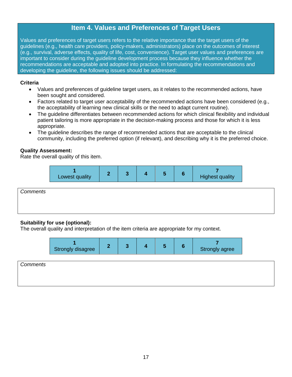# **Item 4. Values and Preferences of Target Users**

Values and preferences of target users refers to the relative importance that the target users of the guidelines (e.g., health care providers, policy-makers, administrators) place on the outcomes of interest (e.g., survival, adverse effects, quality of life, cost, convenience). Target user values and preferences are important to consider during the guideline development process because they influence whether the recommendations are acceptable and adopted into practice. In formulating the recommendations and developing the guideline, the following issues should be addressed:

#### **Criteria**

- Values and preferences of guideline target users, as it relates to the recommended actions, have been sought and considered.
- Factors related to target user acceptability of the recommended actions have been considered (e.g., the acceptability of learning new clinical skills or the need to adapt current routine).
- The guideline differentiates between recommended actions for which clinical flexibility and individual patient tailoring is more appropriate in the decision-making process and those for which it is less appropriate.
- The guideline describes the range of recommended actions that are acceptable to the clinical community, including the preferred option (if relevant), and describing why it is the preferred choice.

#### **Quality Assessment:**

Rate the overall quality of this item.

| Lowest quality |  |  |  |  |  | <b>Highest quality</b> |
|----------------|--|--|--|--|--|------------------------|
|----------------|--|--|--|--|--|------------------------|

*Comments*

#### **Suitability for use (optional):**

The overall quality and interpretation of the item criteria are appropriate for my context.

| Strongly disagree |  |  |  |  |  | Strongly agree |
|-------------------|--|--|--|--|--|----------------|
|-------------------|--|--|--|--|--|----------------|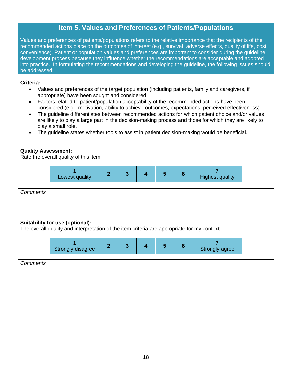# **Item 5. Values and Preferences of Patients/Populations**

Values and preferences of patients/populations refers to the relative importance that the recipients of the recommended actions place on the outcomes of interest (e.g., survival, adverse effects, quality of life, cost, convenience). Patient or population values and preferences are important to consider during the guideline development process because they influence whether the recommendations are acceptable and adopted into practice. In formulating the recommendations and developing the guideline, the following issues should be addressed:

#### **Criteria:**

- Values and preferences of the target population (including patients, family and caregivers, if appropriate) have been sought and considered.
- Factors related to patient/population acceptability of the recommended actions have been considered (e.g., motivation, ability to achieve outcomes, expectations, perceived effectiveness).
- The guideline differentiates between recommended actions for which patient choice and/or values are likely to play a large part in the decision-making process and those for which they are likely to play a small role.
- The guideline states whether tools to assist in patient decision-making would be beneficial.

#### **Quality Assessment:**

Rate the overall quality of this item.

| Lowest quality |  |  |  |  |  | <b>Highest quality</b> |
|----------------|--|--|--|--|--|------------------------|
|----------------|--|--|--|--|--|------------------------|

*Comments*

#### **Suitability for use (optional):**

The overall quality and interpretation of the item criteria are appropriate for my context.

| Strongly disagree<br>Strongly agree |
|-------------------------------------|
|-------------------------------------|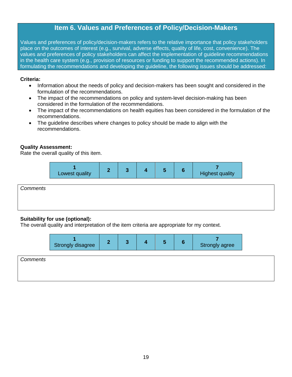# **Item 6. Values and Preferences of Policy/Decision-Makers**

Values and preferences of policy/decision-makers refers to the relative importance that policy stakeholders place on the outcomes of interest (e.g., survival, adverse effects, quality of life, cost, convenience). The values and preferences of policy stakeholders can affect the implementation of guideline recommendations in the health care system (e.g., provision of resources or funding to support the recommended actions). In formulating the recommendations and developing the guideline, the following issues should be addressed:

#### **Criteria:**

- Information about the needs of policy and decision-makers has been sought and considered in the formulation of the recommendations.
- The impact of the recommendations on policy and system-level decision-making has been considered in the formulation of the recommendations.
- The impact of the recommendations on health equities has been considered in the formulation of the recommendations.
- The guideline describes where changes to policy should be made to align with the recommendations.

#### **Quality Assessment:**

Rate the overall quality of this item.

| Lowest quality |  |  |  |  |  | <b>Highest quality</b> |
|----------------|--|--|--|--|--|------------------------|
|----------------|--|--|--|--|--|------------------------|

*Comments*

#### **Suitability for use (optional):**

The overall quality and interpretation of the item criteria are appropriate for my context.

| Strongly disagree |  |  |  |  |  | Strongly agree |
|-------------------|--|--|--|--|--|----------------|
|-------------------|--|--|--|--|--|----------------|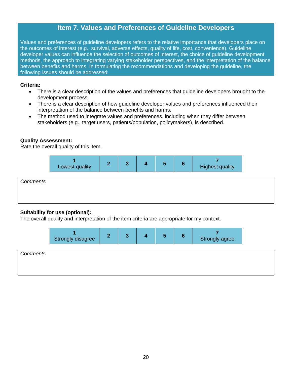# **Item 7. Values and Preferences of Guideline Developers**

Values and preferences of guideline developers refers to the relative importance that developers place on the outcomes of interest (e.g., survival, adverse effects, quality of life, cost, convenience). Guideline developer values can influence the selection of outcomes of interest, the choice of guideline development methods, the approach to integrating varying stakeholder perspectives, and the interpretation of the balance between benefits and harms. In formulating the recommendations and developing the guideline, the following issues should be addressed:

#### **Criteria:**

- There is a clear description of the values and preferences that guideline developers brought to the development process.
- There is a clear description of how guideline developer values and preferences influenced their interpretation of the balance between benefits and harms.
- The method used to integrate values and preferences, including when they differ between stakeholders (e.g., target users, patients/population, policymakers), is described.

#### **Quality Assessment:**

Rate the overall quality of this item.

| Lowest quality |  |  |  |  |  | <b>Highest quality</b> |
|----------------|--|--|--|--|--|------------------------|
|----------------|--|--|--|--|--|------------------------|

| Comments |  |  |
|----------|--|--|
|          |  |  |
|          |  |  |
|          |  |  |

#### **Suitability for use (optional):**

The overall quality and interpretation of the item criteria are appropriate for my context.

| Strongly disagree |  |  |  |  |  | Strongly agree |
|-------------------|--|--|--|--|--|----------------|
|-------------------|--|--|--|--|--|----------------|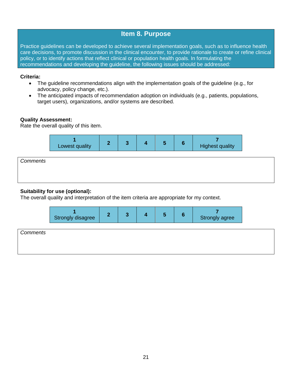### **Item 8. Purpose**

Practice guidelines can be developed to achieve several implementation goals, such as to influence health care decisions, to promote discussion in the clinical encounter, to provide rationale to create or refine clinical policy, or to identify actions that reflect clinical or population health goals. In formulating the recommendations and developing the guideline, the following issues should be addressed:

#### **Criteria:**

- The guideline recommendations align with the implementation goals of the guideline (e.g., for advocacy, policy change, etc.).
- The anticipated impacts of recommendation adoption on individuals (e.g., patients, populations, target users), organizations, and/or systems are described.

#### **Quality Assessment:**

Rate the overall quality of this item.



#### **Suitability for use (optional):**

The overall quality and interpretation of the item criteria are appropriate for my context.

| Strongly disagree |  |  |  |  |  | Strongly agree |
|-------------------|--|--|--|--|--|----------------|
|-------------------|--|--|--|--|--|----------------|

| Comments |  |  |  |
|----------|--|--|--|
|          |  |  |  |
|          |  |  |  |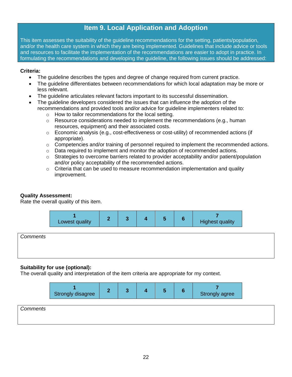### **Item 9. Local Application and Adoption**

This item assesses the suitability of the guideline recommendations for the setting, patients/population, and/or the health care system in which they are being implemented. Guidelines that include advice or tools and resources to facilitate the implementation of the recommendations are easier to adopt in practice. In formulating the recommendations and developing the guideline, the following issues should be addressed:

#### **Criteria:**

- The guideline describes the types and degree of change required from current practice.
- The guideline differentiates between recommendations for which local adaptation may be more or less relevant.
- The guideline articulates relevant factors important to its successful dissemination.
- The guideline developers considered the issues that can influence the adoption of the recommendations and provided tools and/or advice for guideline implementers related to:
	- How to tailor recommendations for the local setting.
	- $\circ$  Resource considerations needed to implement the recommendations (e.g., human resources, equipment) and their associated costs.
	- $\circ$  Economic analysis (e.g., cost-effectiveness or cost-utility) of recommended actions (if appropriate).
	- $\circ$  Competencies and/or training of personnel required to implement the recommended actions.
	- $\circ$  Data required to implement and monitor the adoption of recommended actions.
	- $\circ$  Strategies to overcome barriers related to provider acceptability and/or patient/population and/or policy acceptability of the recommended actions.
	- $\circ$  Criteria that can be used to measure recommendation implementation and quality improvement.

#### **Quality Assessment:**

Rate the overall quality of this item.

| Lowest quality |  |  |  |  |  | <b>Highest quality</b> |
|----------------|--|--|--|--|--|------------------------|
|----------------|--|--|--|--|--|------------------------|

*Comments*

#### **Suitability for use (optional):**

The overall quality and interpretation of the item criteria are appropriate for my context.

|                 | Strongly disagree |  | Ð | o | Strongly agree |
|-----------------|-------------------|--|---|---|----------------|
| <b>Comments</b> |                   |  |   |   |                |